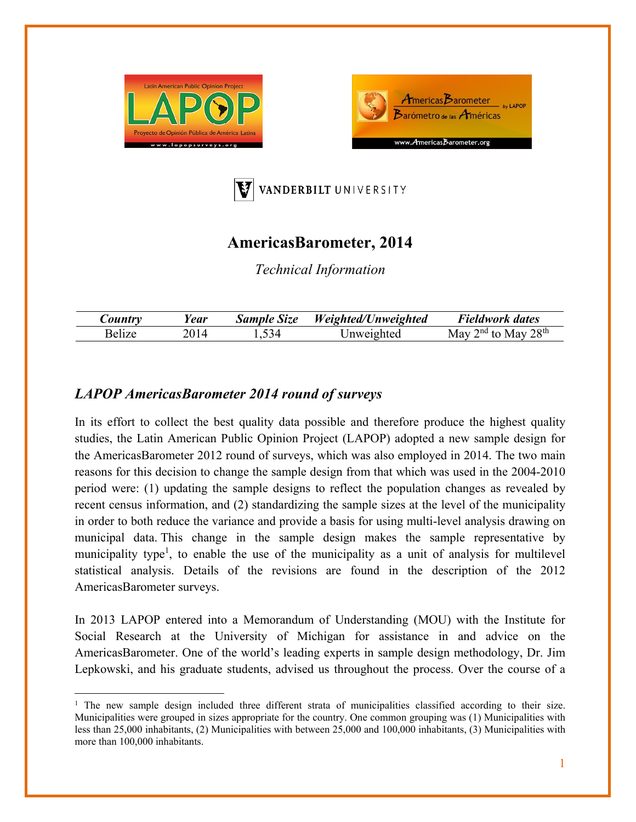





# **AmericasBarometer, 2014**

*Technical Information* 

| $\mathcal{L}$ ountr $\nu$ | ear! | <b>Sample Size</b> | Weighted/Unweighted | Fieldwork dates                                                    |
|---------------------------|------|--------------------|---------------------|--------------------------------------------------------------------|
| ، ۱۵ تا ۱۵                |      | -34                | Jnweighted          | 28 <sup>th</sup><br>$\int$ <sup>nd</sup> to $\Gamma$<br>May<br>May |

## *LAPOP AmericasBarometer 2014 round of surveys*

 $\overline{a}$ 

In its effort to collect the best quality data possible and therefore produce the highest quality studies, the Latin American Public Opinion Project (LAPOP) adopted a new sample design for the AmericasBarometer 2012 round of surveys, which was also employed in 2014. The two main reasons for this decision to change the sample design from that which was used in the 2004-2010 period were: (1) updating the sample designs to reflect the population changes as revealed by recent census information, and (2) standardizing the sample sizes at the level of the municipality in order to both reduce the variance and provide a basis for using multi-level analysis drawing on municipal data. This change in the sample design makes the sample representative by municipality type<sup>1</sup>, to enable the use of the municipality as a unit of analysis for multilevel statistical analysis. Details of the revisions are found in the description of the 2012 AmericasBarometer surveys.

In 2013 LAPOP entered into a Memorandum of Understanding (MOU) with the Institute for Social Research at the University of Michigan for assistance in and advice on the AmericasBarometer. One of the world's leading experts in sample design methodology, Dr. Jim Lepkowski, and his graduate students, advised us throughout the process. Over the course of a

<sup>&</sup>lt;sup>1</sup> The new sample design included three different strata of municipalities classified according to their size. Municipalities were grouped in sizes appropriate for the country. One common grouping was (1) Municipalities with less than 25,000 inhabitants, (2) Municipalities with between 25,000 and 100,000 inhabitants, (3) Municipalities with more than 100,000 inhabitants.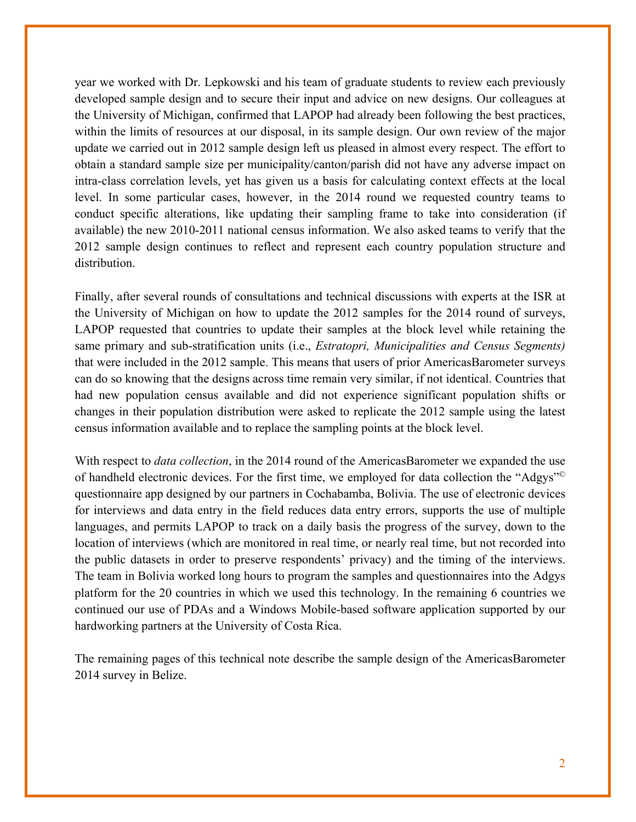year we worked with Dr. Lepkowski and his team of graduate students to review each previously developed sample design and to secure their input and advice on new designs. Our colleagues at the University of Michigan, confirmed that LAPOP had already been following the best practices, within the limits of resources at our disposal, in its sample design. Our own review of the major update we carried out in 2012 sample design left us pleased in almost every respect. The effort to obtain a standard sample size per municipality/canton/parish did not have any adverse impact on intra-class correlation levels, yet has given us a basis for calculating context effects at the local level. In some particular cases, however, in the 2014 round we requested country teams to conduct specific alterations, like updating their sampling frame to take into consideration (if available) the new 2010-2011 national census information. We also asked teams to verify that the 2012 sample design continues to reflect and represent each country population structure and distribution.

Finally, after several rounds of consultations and technical discussions with experts at the ISR at the University of Michigan on how to update the 2012 samples for the 2014 round of surveys, LAPOP requested that countries to update their samples at the block level while retaining the same primary and sub-stratification units (i.e., *Estratopri, Municipalities and Census Segments)*  that were included in the 2012 sample. This means that users of prior AmericasBarometer surveys can do so knowing that the designs across time remain very similar, if not identical. Countries that had new population census available and did not experience significant population shifts or changes in their population distribution were asked to replicate the 2012 sample using the latest census information available and to replace the sampling points at the block level.

With respect to *data collection*, in the 2014 round of the AmericasBarometer we expanded the use of handheld electronic devices. For the first time, we employed for data collection the "Adgys"© questionnaire app designed by our partners in Cochabamba, Bolivia. The use of electronic devices for interviews and data entry in the field reduces data entry errors, supports the use of multiple languages, and permits LAPOP to track on a daily basis the progress of the survey, down to the location of interviews (which are monitored in real time, or nearly real time, but not recorded into the public datasets in order to preserve respondents' privacy) and the timing of the interviews. The team in Bolivia worked long hours to program the samples and questionnaires into the Adgys platform for the 20 countries in which we used this technology. In the remaining 6 countries we continued our use of PDAs and a Windows Mobile-based software application supported by our hardworking partners at the University of Costa Rica.

The remaining pages of this technical note describe the sample design of the AmericasBarometer 2014 survey in Belize.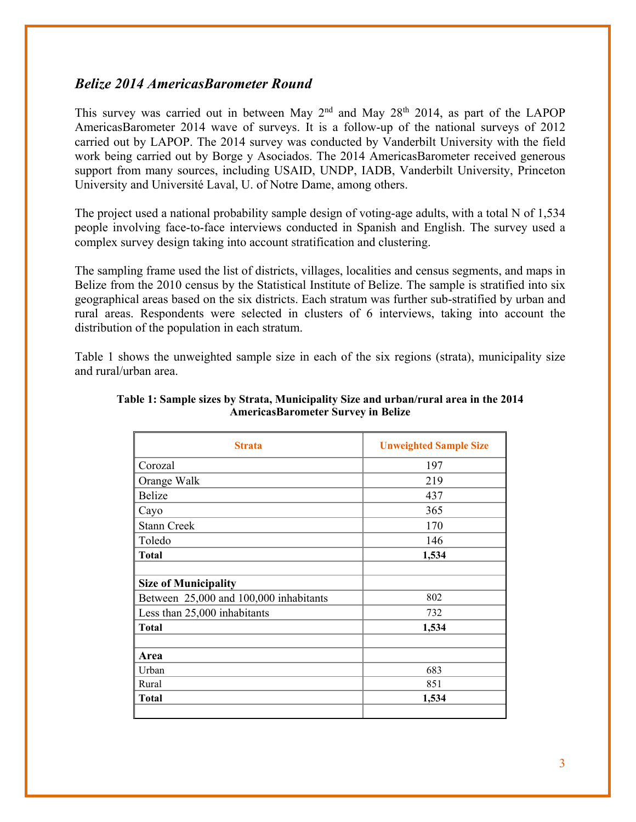### *Belize 2014 AmericasBarometer Round*

This survey was carried out in between May  $2<sup>nd</sup>$  and May  $28<sup>th</sup>$  2014, as part of the LAPOP AmericasBarometer 2014 wave of surveys. It is a follow-up of the national surveys of 2012 carried out by LAPOP. The 2014 survey was conducted by Vanderbilt University with the field work being carried out by Borge y Asociados. The 2014 AmericasBarometer received generous support from many sources, including USAID, UNDP, IADB, Vanderbilt University, Princeton University and Université Laval, U. of Notre Dame, among others.

The project used a national probability sample design of voting-age adults, with a total N of 1,534 people involving face-to-face interviews conducted in Spanish and English. The survey used a complex survey design taking into account stratification and clustering.

The sampling frame used the list of districts, villages, localities and census segments, and maps in Belize from the 2010 census by the Statistical Institute of Belize. The sample is stratified into six geographical areas based on the six districts. Each stratum was further sub-stratified by urban and rural areas. Respondents were selected in clusters of 6 interviews, taking into account the distribution of the population in each stratum.

Table 1 shows the unweighted sample size in each of the six regions (strata), municipality size and rural/urban area.

| <b>Strata</b>                          | <b>Unweighted Sample Size</b> |
|----------------------------------------|-------------------------------|
| Corozal                                | 197                           |
| Orange Walk                            | 219                           |
| <b>Belize</b>                          | 437                           |
| Cayo                                   | 365                           |
| <b>Stann Creek</b>                     | 170                           |
| Toledo                                 | 146                           |
| <b>Total</b>                           | 1,534                         |
|                                        |                               |
| <b>Size of Municipality</b>            |                               |
| Between 25,000 and 100,000 inhabitants | 802                           |
| Less than 25,000 inhabitants           | 732                           |
| <b>Total</b>                           | 1,534                         |
|                                        |                               |
| Area                                   |                               |
| Urban                                  | 683                           |
| Rural                                  | 851                           |
| <b>Total</b>                           | 1,534                         |
|                                        |                               |

#### **Table 1: Sample sizes by Strata, Municipality Size and urban/rural area in the 2014 AmericasBarometer Survey in Belize**